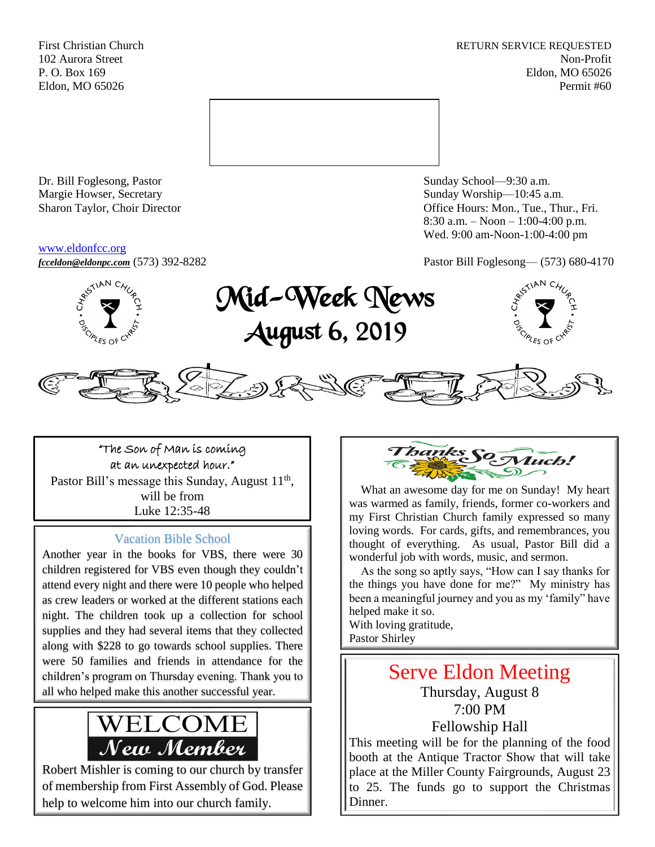First Christian Church **RETURN SERVICE REQUESTED** 102 Aurora Street Non-Profit P. O. Box 169 Eldon, MO 65026 Eldon, MO 65026 Permit #60



Dr. Bill Foglesong, Pastor Sunday School—9:30 a.m. Margie Howser, Secretary Sunday Worship—10:45 a.m.

#### [www.eldonfcc.org](http://www.eldonfcc.org/)

Sharon Taylor, Choir Director **Calcular Control** Control Control Control Control Control Control Control Control Control Control Control Control Control Control Control Control Control Control Control Control Control Contr 8:30 a.m. – Noon – 1:00-4:00 p.m. Wed. 9:00 am-Noon-1:00-4:00 pm









"The Son of Man is coming at an unexpected hour." Pastor Bill's message this Sunday, August  $11<sup>th</sup>$ , will be from Luke 12:35-48

## Vacation Bible School

Another year in the books for VBS, there were 30 children registered for VBS even though they couldn't attend every night and there were 10 people who helped as crew leaders or worked at the different stations each night. The children took up a collection for school supplies and they had several items that they collected along with \$228 to go towards school supplies. There were 50 families and friends in attendance for the children's program on Thursday evening. Thank you to all who helped make this another successful year.



Robert Mishler is coming to our church by transfer of membership from First Assembly of God. Please help to welcome him into our church family.



 What an awesome day for me on Sunday! My heart was warmed as family, friends, former co-workers and my First Christian Church family expressed so many loving words. For cards, gifts, and remembrances, you thought of everything. As usual, Pastor Bill did a wonderful job with words, music, and sermon.

 As the song so aptly says, "How can I say thanks for the things you have done for me?" My ministry has been a meaningful journey and you as my 'family" have helped make it so.

With loving gratitude, Pastor Shirley

# Serve Eldon Meeting

Thursday, August 8 7:00 PM Fellowship Hall

This meeting will be for the planning of the food booth at the Antique Tractor Show that will take place at the Miller County Fairgrounds, August 23 to 25. The funds go to support the Christmas Dinner.